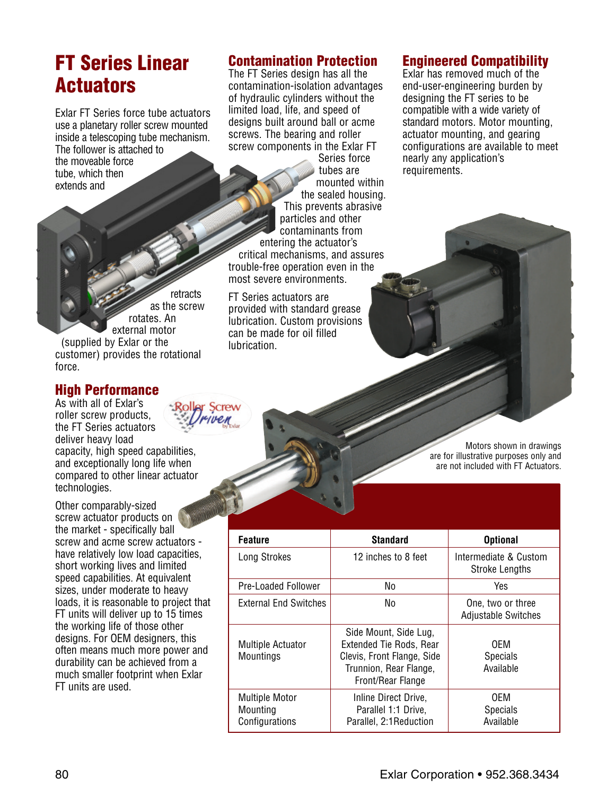# **FT Series Linear Actuators**

Exlar FT Series force tube actuators use a planetary roller screw mounted inside a telescoping tube mechanism. The follower is attached to the moveable force tube, which then extends and

retracts as the screw rotates. An external motor (supplied by Exlar or the customer) provides the rotational force.

### **High Performance**

As with all of Exlar's roller screw products, the FT Series actuators deliver heavy load capacity, high speed capabilities, and exceptionally long life when compared to other linear actuator technologies.

Other comparably-sized screw actuator products on the market - specifically ball screw and acme screw actuators have relatively low load capacities, short working lives and limited speed capabilities. At equivalent sizes, under moderate to heavy loads, it is reasonable to project that FT units will deliver up to 15 times the working life of those other designs. For OEM designers, this often means much more power and durability can be achieved from a much smaller footprint when Exlar FT units are used.

## **Contamination Protection**

The FT Series design has all the contamination-isolation advantages of hydraulic cylinders without the limited load, life, and speed of designs built around ball or acme screws. The bearing and roller screw components in the Exlar FT

> Series force tubes are mounted within the sealed housing. This prevents abrasive particles and other contaminants from

entering the actuator's critical mechanisms, and assures trouble-free operation even in the most severe environments.

FT Series actuators are provided with standard grease lubrication. Custom provisions can be made for oil filled **lubrication** 

### **Engineered Compatibility**

Exlar has removed much of the end-user-engineering burden by designing the FT series to be compatible with a wide variety of standard motors. Motor mounting, actuator mounting, and gearing configurations are available to meet nearly any application's requirements.

> Motors shown in drawings are for illustrative purposes only and are not included with FT Actuators.

| <b>Feature</b>                                      | <b>Standard</b>                                                                                                                      | <b>Optional</b>                                 |
|-----------------------------------------------------|--------------------------------------------------------------------------------------------------------------------------------------|-------------------------------------------------|
| Long Strokes                                        | 12 inches to 8 feet                                                                                                                  | Intermediate & Custom<br><b>Stroke Lengths</b>  |
| Pre-Loaded Follower                                 | No                                                                                                                                   | Yes                                             |
| <b>External End Switches</b>                        | No                                                                                                                                   | One, two or three<br><b>Adjustable Switches</b> |
| <b>Multiple Actuator</b><br><b>Mountings</b>        | Side Mount, Side Lug,<br><b>Extended Tie Rods, Rear</b><br>Clevis, Front Flange, Side<br>Trunnion, Rear Flange,<br>Front/Rear Flange | 0FM<br><b>Specials</b><br>Available             |
| <b>Multiple Motor</b><br>Mounting<br>Configurations | Inline Direct Drive,<br>Parallel 1:1 Drive,<br>Parallel, 2:1 Reduction                                                               | 0EM<br><b>Specials</b><br>Available             |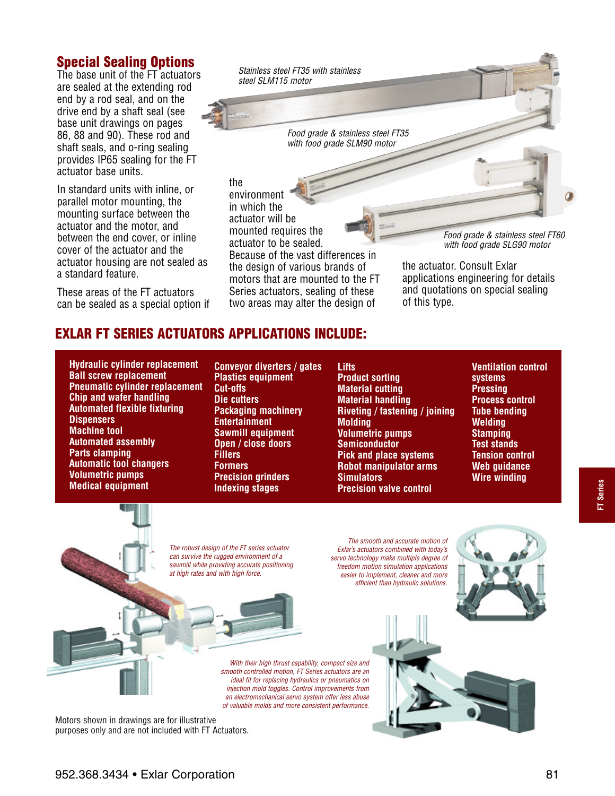### **Special Sealing Options**

The base unit of the FT actuators are sealed at the extending rod end by a rod seal, and on the drive end by a shaft seal (see base unit drawings on pages 86, 88 and 90). These rod and shaft seals, and o-ring sealing provides IP65 sealing for the FT actuator base units.

In standard units with inline, or parallel motor mounting, the mounting surface between the actuator and the motor, and between the end cover, or inline cover of the actuator and the actuator housing are not sealed as a standard feature.

These areas of the FT actuators can be sealed as a special option if *Stainless steel FT35 with stainless steel SLM115 motor*

> *Food grade & stainless steel FT35 with food grade SLM90 motor*

the environment in which the actuator will be mounted requires the actuator to be sealed. Because of the vast differences in the design of various brands of motors that are mounted to the FT Series actuators, sealing of these two areas may alter the design of

*Food grade & stainless steel FT60 with food grade SLG90 motor*

the actuator. Consult Exlar applications engineering for details and quotations on special sealing of this type.

## **EXLAR FT SERIES ACTUATORS APPLICATIONS INCLUDE:**

**Hydraulic cylinder replacement Ball screw replacement Pneumatic cylinder replacement Chip and wafer handling Automated flexible fixturing Dispensers Machine tool Automated assembly Parts clamping Automatic tool changers Volumetric pumps Medical equipment**

**Conveyor diverters / gates Plastics equipment Cut-offs Die cutters Packaging machinery Entertainment Sawmill equipment Open / close doors Fillers Formers Precision grinders Indexing stages**

**Lifts Product sorting Material cutting Material handling Riveting / fastening / joining Molding Volumetric pumps Semiconductor Pick and place systems Robot manipulator arms Simulators Precision valve control**

**Ventilation control systems Pressing Process control Tube bending Welding Stamping Test stands Tension control Web guidance Wire winding**

*The robust design of the FT series actuator can survive the rugged environment of a sawmill while providing accurate positioning at high rates and with high force.*

*The smooth and accurate motion of Exlar's actuators combined with today's servo technology make multiple degree of freedom motion simulation applications easier to implement, cleaner and more efficient than hydraulic solutions.*

*With their high thrust capability, compact size and smooth controlled motion, FT Series actuators are an ideal fit for replacing hydraulics or pneumatics on injection mold toggles. Control improvements from an electromechanical servo system offer less abuse of valuable molds and more consistent performance.*

Motors shown in drawings are for illustrative purposes only and are not included with FT Actuators.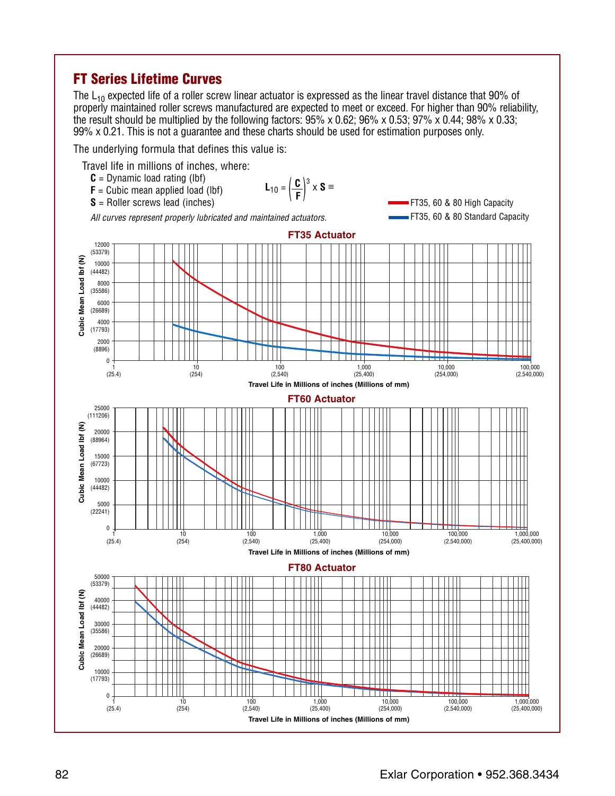## **FT Series Lifetime Curves**

The  $L_{10}$  expected life of a roller screw linear actuator is expressed as the linear travel distance that 90% of properly maintained roller screws manufactured are expected to meet or exceed. For higher than 90% reliability, the result should be multiplied by the following factors: 95% x 0.62; 96% x 0.53; 97% x 0.44; 98% x 0.33; 99% x 0.21. This is not a guarantee and these charts should be used for estimation purposes only.

The underlying formula that defines this value is:

Travel life in millions of inches, where:

- $C =$  Dynamic load rating (lbf)
- $$ **S** = Roller screws lead (inches) *All curves represent properly lubricated and maintained actuators.*  $L_{10} = \left(\frac{C}{E}\right)$ **L**<sub>10</sub> =  $\left(\frac{C}{F}\right)^3$  x **S** ≡

FT35, 60 & 80 High Capacity FT35, 60 & 80 Standard Capacity

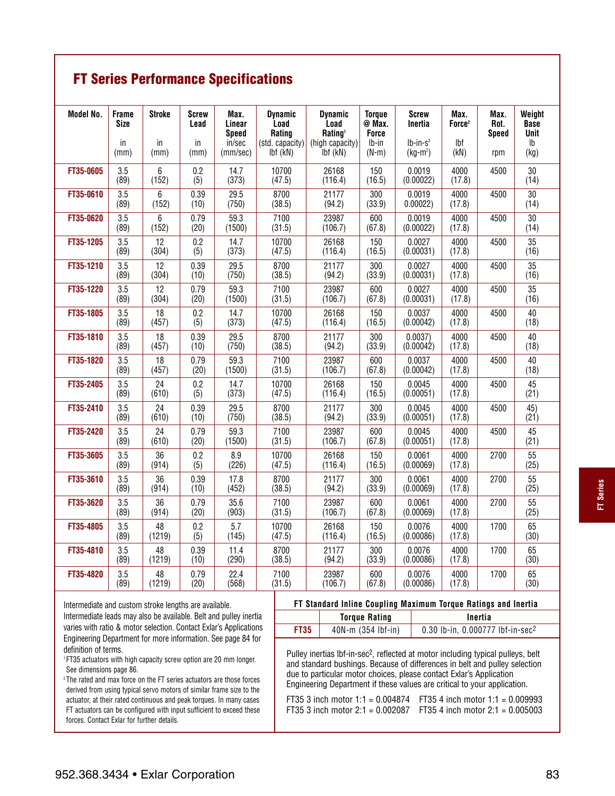## **FT Series Performance Specifications**

| Model No. | <b>Frame</b><br>Size | <b>Stroke</b>    | Screw<br>Lead | Max.<br>Linear                     | <b>Dynamic</b><br>Load                         | <b>Dynamic</b><br>Load                             | <b>Torque</b><br>@ Max.            | Screw<br>Inertia        | Max.<br>Force <sup>2</sup> | Max.<br>Rot.        | Weight<br><b>Base</b>         |
|-----------|----------------------|------------------|---------------|------------------------------------|------------------------------------------------|----------------------------------------------------|------------------------------------|-------------------------|----------------------------|---------------------|-------------------------------|
|           | in<br>(mm)           | in<br>(mm)       | in<br>(mm)    | <b>Speed</b><br>in/sec<br>(mm/sec) | <b>Rating</b><br>(std. capacity)<br>$Ibf$ (kN) | Rating <sup>1</sup><br>(high capacity)<br>Ibf (kN) | <b>Force</b><br>$Ib-in$<br>$(N-m)$ | $lb-in-s2$<br>$(kg-m2)$ | <b>Ibf</b><br>(kN)         | <b>Speed</b><br>rpm | Unit<br>$\mathsf{lb}$<br>(kg) |
| FT35-0605 | 3.5<br>(89)          | $\,6\,$<br>(152) | 0.2<br>(5)    | 14.7<br>(373)                      | 10700<br>(47.5)                                | 26168<br>(116.4)                                   | 150<br>(16.5)                      | 0.0019<br>(0.00022)     | 4000<br>(17.8)             | 4500                | 30<br>(14)                    |
| FT35-0610 | 3.5<br>(89)          | 6<br>(152)       | 0.39<br>(10)  | 29.5<br>(750)                      | 8700<br>(38.5)                                 | 21177<br>(94.2)                                    | 300<br>(33.9)                      | 0.0019<br>0.00022)      | 4000<br>(17.8)             | 4500                | 30<br>(14)                    |
| FT35-0620 | 3.5<br>(89)          | 6<br>(152)       | 0.79<br>(20)  | 59.3<br>(1500)                     | 7100<br>(31.5)                                 | 23987<br>(106.7)                                   | 600<br>(67.8)                      | 0.0019<br>(0.00022)     | 4000<br>(17.8)             | 4500                | 30<br>(14)                    |
| FT35-1205 | 3.5<br>(89)          | 12<br>(304)      | 0.2<br>(5)    | 14.7<br>(373)                      | 10700<br>(47.5)                                | 26168<br>(116.4)                                   | 150<br>(16.5)                      | 0.0027<br>(0.00031)     | 4000<br>(17.8)             | 4500                | 35<br>(16)                    |
| FT35-1210 | 3.5<br>(89)          | 12<br>(304)      | 0.39<br>(10)  | 29.5<br>(750)                      | 8700<br>(38.5)                                 | 21177<br>(94.2)                                    | 300<br>(33.9)                      | 0.0027<br>(0.00031)     | 4000<br>(17.8)             | 4500                | 35<br>(16)                    |
| FT35-1220 | 3.5<br>(89)          | 12<br>(304)      | 0.79<br>(20)  | 59.3<br>(1500)                     | 7100<br>(31.5)                                 | 23987<br>(106.7)                                   | 600<br>(67.8)                      | 0.0027<br>(0.00031)     | 4000<br>(17.8)             | 4500                | $\overline{35}$<br>(16)       |
| FT35-1805 | 3.5<br>(89)          | 18<br>(457)      | 0.2<br>(5)    | 14.7<br>(373)                      | 10700<br>(47.5)                                | 26168<br>(116.4)                                   | 150<br>(16.5)                      | 0.0037<br>(0.00042)     | 4000<br>(17.8)             | 4500                | 40<br>(18)                    |
| FT35-1810 | 3.5<br>(89)          | 18<br>(457)      | 0.39<br>(10)  | 29.5<br>(750)                      | 8700<br>(38.5)                                 | 21177<br>(94.2)                                    | 300<br>(33.9)                      | 0.0037<br>(0.00042)     | 4000<br>(17.8)             | 4500                | 40<br>(18)                    |
| FT35-1820 | 3.5<br>(89)          | 18<br>(457)      | 0.79<br>(20)  | 59.3<br>(1500)                     | 7100<br>(31.5)                                 | 23987<br>(106.7)                                   | 600<br>(67.8)                      | 0.0037<br>(0.00042)     | 4000<br>(17.8)             | 4500                | 40<br>(18)                    |
| FT35-2405 | 3.5<br>(89)          | 24<br>(610)      | 0.2<br>(5)    | 14.7<br>(373)                      | 10700<br>(47.5)                                | 26168<br>(116.4)                                   | 150<br>(16.5)                      | 0.0045<br>(0.00051)     | 4000<br>(17.8)             | 4500                | 45<br>(21)                    |
| FT35-2410 | 3.5<br>(89)          | 24<br>(610)      | 0.39<br>(10)  | 29.5<br>(750)                      | 8700<br>(38.5)                                 | 21177<br>(94.2)                                    | 300<br>(33.9)                      | 0.0045<br>(0.00051)     | 4000<br>(17.8)             | 4500                | 45)<br>(21)                   |
| FT35-2420 | 3.5<br>(89)          | 24<br>(610)      | 0.79<br>(20)  | 59.3<br>(1500)                     | 7100<br>(31.5)                                 | 23987<br>(106.7)                                   | 600<br>(67.8)                      | 0.0045<br>(0.00051)     | 4000<br>(17.8)             | 4500                | 45<br>(21)                    |
| FT35-3605 | 3.5<br>(89)          | 36<br>(914)      | 0.2<br>(5)    | 8.9<br>(226)                       | 10700<br>(47.5)                                | 26168<br>(116.4)                                   | 150<br>(16.5)                      | 0.0061<br>(0.00069)     | 4000<br>(17.8)             | 2700                | 55<br>(25)                    |
| FT35-3610 | 3.5<br>(89)          | 36<br>(914)      | 0.39<br>(10)  | 17.8<br>(452)                      | 8700<br>(38.5)                                 | 21177<br>(94.2)                                    | 300<br>(33.9)                      | 0.0061<br>(0.00069)     | 4000<br>(17.8)             | 2700                | 55<br>(25)                    |
| FT35-3620 | 3.5<br>(89)          | 36<br>(914)      | 0.79<br>(20)  | 35.6<br>(903)                      | 7100<br>(31.5)                                 | 23987<br>(106.7)                                   | 600<br>(67.8)                      | 0.0061<br>(0.00069)     | 4000<br>(17.8)             | 2700                | 55<br>(25)                    |
| FT35-4805 | 3.5<br>(89)          | 48<br>(1219)     | 0.2<br>(5)    | 5.7<br>(145)                       | 10700<br>(47.5)                                | 26168<br>(116.4)                                   | 150<br>(16.5)                      | 0.0076<br>(0.00086)     | 4000<br>(17.8)             | 1700                | 65<br>(30)                    |
| FT35-4810 | 3.5<br>(89)          | 48<br>(1219)     | 0.39<br>(10)  | 11.4<br>(290)                      | 8700<br>(38.5)                                 | 21177<br>(94.2)                                    | 300<br>(33.9)                      | 0.0076<br>(0.00086)     | 4000<br>(17.8)             | 1700                | 65<br>(30)                    |
| FT35-4820 | 3.5<br>(89)          | 48<br>(1219)     | 0.79<br>(20)  | 22.4<br>(568)                      | 7100<br>(31.5)                                 | 23987<br>(106.7)                                   | 600<br>(67.8)                      | 0.0076<br>(0.00086)     | 4000<br>(17.8)             | 1700                | 65<br>(30)                    |

Intermediate and custom stroke lengths are available.

Intermediate leads may also be available. Belt and pulley inertia varies with ratio & motor selection. Contact Exlar's Applications Engineering Department for more information. See page 84 for definition of terms.

1 FT35 actuators with high capacity screw option are 20 mm longer. See dimensions page 86.

<sup>2</sup>The rated and max force on the FT series actuators are those forces derived from using typical servo motors of similar frame size to the actuator, at their rated continuous and peak torques. In many cases FT actuators can be configured with input sufficient to exceed these forces. Contact Exlar for further details.

| FT Standard Inline Coupling Maximum Torque Ratings and Inertia |                      |                                              |  |  |  |  |  |
|----------------------------------------------------------------|----------------------|----------------------------------------------|--|--|--|--|--|
|                                                                | <b>Torque Rating</b> | Inertia                                      |  |  |  |  |  |
| <b>FT35</b>                                                    | $40N-m(354 lbf-in)$  | 0.30 lb-in, 0.000777 lbf-in-sec <sup>2</sup> |  |  |  |  |  |

Pulley inertias lbf-in-sec<sup>2</sup>, reflected at motor including typical pulleys, belt and standard bushings. Because of differences in belt and pulley selection due to particular motor choices, please contact Exlar's Application Engineering Department if these values are critical to your application.

| FT35 3 inch motor 1:1 = $0.004874$ FT35 4 inch motor 1:1 = $0.009993$ |
|-----------------------------------------------------------------------|
| FT35 3 inch motor 2:1 = 0.002087 FT35 4 inch motor 2:1 = 0.005003     |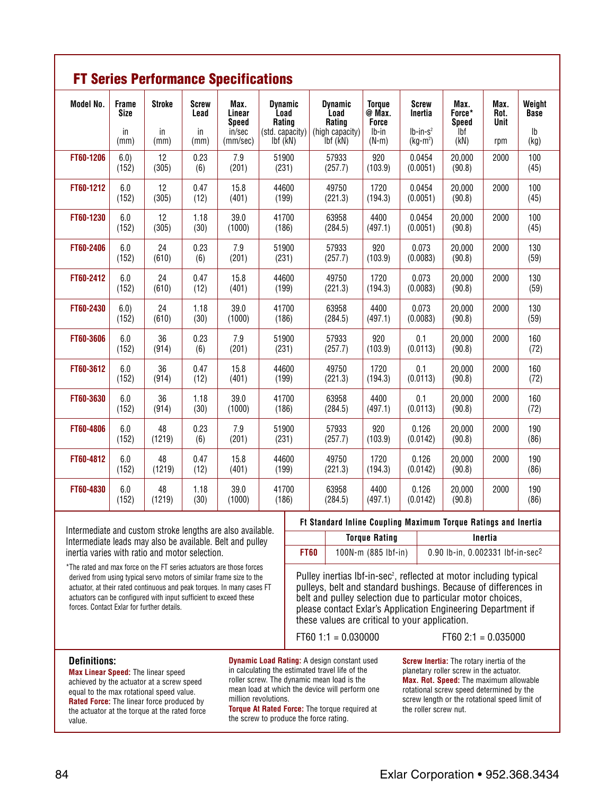|                  | <b>FT Series Performance Specifications</b> |                     |                            |                                          |                                                     |                                                     |                                                  |                                       |                                        |                      |                                        |  |  |  |  |
|------------------|---------------------------------------------|---------------------|----------------------------|------------------------------------------|-----------------------------------------------------|-----------------------------------------------------|--------------------------------------------------|---------------------------------------|----------------------------------------|----------------------|----------------------------------------|--|--|--|--|
| <b>Model No.</b> | <b>Frame</b><br><b>Size</b><br>in           | <b>Stroke</b><br>in | <b>Screw</b><br>Lead<br>in | Max.<br>Linear<br><b>Speed</b><br>in/sec | <b>Dynamic</b><br>Load<br>Rating<br>(std. capacity) | <b>Dynamic</b><br>Load<br>Rating<br>(high capacity) | <b>Torque</b><br>@ Max.<br><b>Force</b><br>lb-in | <b>Screw</b><br>Inertia<br>$lb-in-s2$ | Max.<br>Force*<br><b>Speed</b><br>`lbf | Max.<br>Rot.<br>Unit | Weight<br><b>Base</b><br>$\mathsf{lb}$ |  |  |  |  |
|                  | (mm)                                        | (mm)                | (mm)                       | (mm/sec)                                 | $Ibf$ ( $kN$ )                                      | Ibf (kN)                                            | $(N-m)$                                          | $(kg-m2)$                             | (kN)                                   | rpm                  | (kg)                                   |  |  |  |  |
| FT60-1206        | 6.0)<br>(152)                               | 12<br>(305)         | 0.23<br>(6)                | 7.9<br>(201)                             | 51900<br>(231)                                      | 57933<br>(257.7)                                    | 920<br>(103.9)                                   | 0.0454<br>(0.0051)                    | 20,000<br>(90.8)                       | 2000                 | 100<br>(45)                            |  |  |  |  |
| FT60-1212        | 6.0<br>(152)                                | 12<br>(305)         | 0.47<br>(12)               | 15.8<br>(401)                            | 44600<br>(199)                                      | 49750<br>(221.3)                                    | 1720<br>(194.3)                                  | 0.0454<br>(0.0051)                    | 20,000<br>(90.8)                       | 2000                 | 100<br>(45)                            |  |  |  |  |
| FT60-1230        | 6.0<br>(152)                                | 12<br>(305)         | 1.18<br>(30)               | 39.0<br>(1000)                           | 41700<br>(186)                                      | 63958<br>(284.5)                                    | 4400<br>(497.1)                                  | 0.0454<br>(0.0051)                    | 20.000<br>(90.8)                       | 2000                 | 100<br>(45)                            |  |  |  |  |
| FT60-2406        | 6.0<br>(152)                                | 24<br>(610)         | 0.23<br>(6)                | 7.9<br>(201)                             | 51900<br>(231)                                      | 57933<br>(257.7)                                    | 920<br>(103.9)                                   | 0.073<br>(0.0083)                     | 20,000<br>(90.8)                       | 2000                 | 130<br>(59)                            |  |  |  |  |
| FT60-2412        | 6.0<br>(152)                                | 24<br>(610)         | 0.47<br>(12)               | 15.8<br>(401)                            | 44600<br>(199)                                      | 49750<br>(221.3)                                    | 1720<br>(194.3)                                  | 0.073<br>(0.0083)                     | 20,000<br>(90.8)                       | 2000                 | 130<br>(59)                            |  |  |  |  |
| FT60-2430        | 6.0)<br>(152)                               | 24<br>(610)         | 1.18<br>(30)               | 39.0<br>(1000)                           | 41700<br>(186)                                      | 63958<br>(284.5)                                    | 4400<br>(497.1)                                  | 0.073<br>(0.0083)                     | 20,000<br>(90.8)                       | 2000                 | 130<br>(59)                            |  |  |  |  |
| FT60-3606        | 6.0<br>(152)                                | 36<br>(914)         | 0.23<br>(6)                | 7.9<br>(201)                             | 51900<br>(231)                                      | 57933<br>(257.7)                                    | 920<br>(103.9)                                   | 0.1<br>(0.0113)                       | 20,000<br>(90.8)                       | 2000                 | 160<br>(72)                            |  |  |  |  |
| FT60-3612        | 6.0<br>(152)                                | 36<br>(914)         | 0.47<br>(12)               | 15.8<br>(401)                            | 44600<br>(199)                                      | 49750<br>(221.3)                                    | 1720<br>(194.3)                                  | 0.1<br>(0.0113)                       | 20.000<br>(90.8)                       | 2000                 | 160<br>(72)                            |  |  |  |  |
| FT60-3630        | 6.0<br>(152)                                | 36<br>(914)         | 1.18<br>(30)               | 39.0<br>(1000)                           | 41700<br>(186)                                      | 63958<br>(284.5)                                    | 4400<br>(497.1)                                  | 0.1<br>(0.0113)                       | 20,000<br>(90.8)                       | 2000                 | 160<br>(72)                            |  |  |  |  |
| FT60-4806        | 6.0<br>(152)                                | 48<br>(1219)        | 0.23<br>(6)                | 7.9<br>(201)                             | 51900<br>(231)                                      | 57933<br>(257.7)                                    | 920<br>(103.9)                                   | 0.126<br>(0.0142)                     | 20,000<br>(90.8)                       | 2000                 | 190<br>(86)                            |  |  |  |  |
| FT60-4812        | 6.0<br>(152)                                | 48<br>(1219)        | 0.47<br>(12)               | 15.8<br>(401)                            | 44600<br>(199)                                      | 49750<br>(221.3)                                    | 1720<br>(194.3)                                  | 0.126<br>(0.0142)                     | 20,000<br>(90.8)                       | 2000                 | 190<br>(86)                            |  |  |  |  |
| FT60-4830        | 6.0<br>(152)                                | 48<br>(1219)        | 1.18<br>(30)               | 39.0<br>(1000)                           | 41700<br>(186)                                      | 63958<br>(284.5)                                    | 4400<br>(497.1)                                  | 0.126<br>(0.0142)                     | 20,000<br>(90.8)                       | 2000                 | 190<br>(86)                            |  |  |  |  |

Intermediate and custom stroke lengths are also available. Intermediate leads may also be available. Belt and pulley inertia varies with ratio and motor selection.

### **Ft Standard Inline Coupling Maximum Torque Ratings and Inertia**

|             | <b>Torque Rating</b> | Inertia                                      |
|-------------|----------------------|----------------------------------------------|
| <b>FT60</b> | 100N-m (885 lbf-in)  | 0.90 lb-in, 0.002331 lbf-in-sec <sup>2</sup> |

\*The rated and max force on the FT series actuators are those forces derived from using typical servo motors of similar frame size to the actuator, at their rated continuous and peak torques. In many cases FT actuators can be configured with input sufficient to exceed these forces. Contact Exlar for further details.

Pulley inertias lbf-in-sec<sup>2</sup>, reflected at motor including typical pulleys, belt and standard bushings. Because of differences in belt and pulley selection due to particular motor choices, please contact Exlar's Application Engineering Department if these values are critical to your application.

FT60  $1:1 = 0.030000$  FT60  $2:1 = 0.035000$ 

#### **Definitions:**

**Max Linear Speed:** The linear speed achieved by the actuator at a screw speed equal to the max rotational speed value. **Rated Force:** The linear force produced by the actuator at the torque at the rated force value.

**Dynamic Load Rating:** A design constant used in calculating the estimated travel life of the roller screw. The dynamic mean load is the mean load at which the device will perform one million revolutions.

**Torque At Rated Force:** The torque required at the screw to produce the force rating.

**Screw Inertia:** The rotary inertia of the planetary roller screw in the actuator. **Max. Rot. Speed:** The maximum allowable rotational screw speed determined by the screw length or the rotational speed limit of the roller screw nut.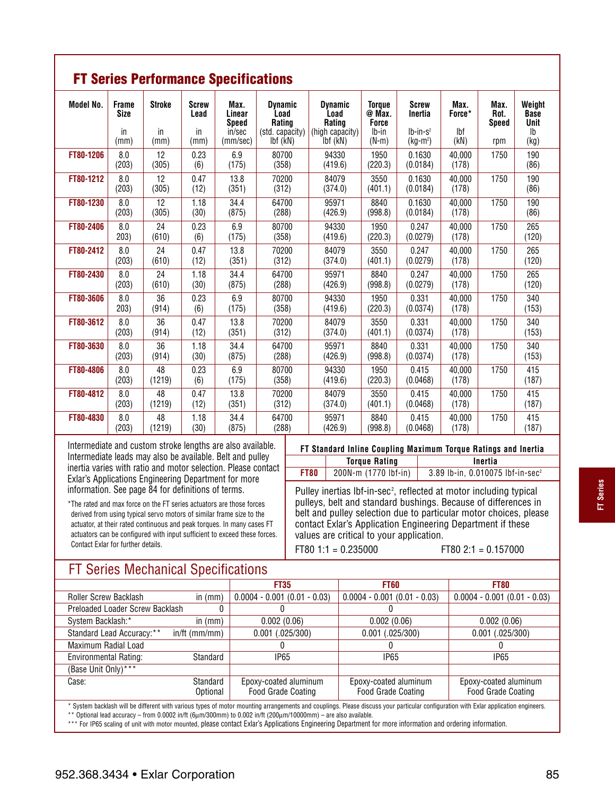|                  | <b>FT Series Performance Specifications</b> |                             |                                    |                                                      |                                                                 |                                                                 |                                                             |                                                     |                               |                                     |                                                    |  |  |  |  |
|------------------|---------------------------------------------|-----------------------------|------------------------------------|------------------------------------------------------|-----------------------------------------------------------------|-----------------------------------------------------------------|-------------------------------------------------------------|-----------------------------------------------------|-------------------------------|-------------------------------------|----------------------------------------------------|--|--|--|--|
| <b>Model No.</b> | <b>Frame</b><br><b>Size</b><br>in<br>(mm)   | <b>Stroke</b><br>in<br>(mm) | <b>Screw</b><br>Lead<br>in<br>(mm) | Max.<br>Linear<br><b>Speed</b><br>in/sec<br>(mm/sec) | <b>Dynamic</b><br>Load<br>Rating<br>(std. capacity)<br>lbf (kN) | <b>Dynamic</b><br>Load<br>Rating<br>(high capacity)<br>Ibf (kN) | <b>Torque</b><br>@ Max.<br><b>Force</b><br>lb-in<br>$(N-m)$ | <b>Screw</b><br>Inertia<br>$Ib-in-s^2$<br>$(kg-m2)$ | Max.<br>Force*<br>Ibf<br>(kN) | Max.<br>Rot.<br><b>Speed</b><br>rpm | Weight<br><b>Base</b><br><b>Unit</b><br>Ib<br>(kg) |  |  |  |  |
| FT80-1206        | 8.0<br>(203)                                | 12<br>(305)                 | 0.23<br>(6)                        | 6.9<br>(175)                                         | 80700<br>(358)                                                  | 94330<br>(419.6)                                                | 1950<br>(220.3)                                             | 0.1630<br>(0.0184)                                  | 40,000<br>(178)               | 1750                                | 190<br>(86)                                        |  |  |  |  |
| FT80-1212        | 8.0<br>(203)                                | 12<br>(305)                 | 0.47<br>(12)                       | 13.8<br>(351)                                        | 70200<br>(312)                                                  | 84079<br>(374.0)                                                | 3550<br>(401.1)                                             | 0.1630<br>(0.0184)                                  | 40,000<br>(178)               | 1750                                | 190<br>(86)                                        |  |  |  |  |
| FT80-1230        | 8.0<br>(203)                                | 12<br>(305)                 | 1.18<br>(30)                       | 34.4<br>(875)                                        | 64700<br>(288)                                                  | 95971<br>(426.9)                                                | 8840<br>(998.8)                                             | 0.1630<br>(0.0184)                                  | 40,000<br>(178)               | 1750                                | 190<br>(86)                                        |  |  |  |  |
| FT80-2406        | 8.0<br>203)                                 | 24<br>(610)                 | 0.23<br>(6)                        | 6.9<br>(175)                                         | 80700<br>(358)                                                  | 94330<br>(419.6)                                                | 1950<br>(220.3)                                             | 0.247<br>(0.0279)                                   | 40.000<br>(178)               | 1750                                | 265<br>(120)                                       |  |  |  |  |
| FT80-2412        | 8.0<br>(203)                                | 24<br>(610)                 | 0.47<br>(12)                       | 13.8<br>(351)                                        | 70200<br>(312)                                                  | 84079<br>(374.0)                                                | 3550<br>(401.1)                                             | 0.247<br>(0.0279)                                   | 40.000<br>(178)               | 1750                                | 265<br>(120)                                       |  |  |  |  |
| FT80-2430        | 8.0<br>(203)                                | 24<br>(610)                 | 1.18<br>(30)                       | 34.4<br>(875)                                        | 64700<br>(288)                                                  | 95971<br>(426.9)                                                | 8840<br>(998.8)                                             | 0.247<br>(0.0279)                                   | 40.000<br>(178)               | 1750                                | 265<br>(120)                                       |  |  |  |  |
| FT80-3606        | 8.0<br>203)                                 | 36<br>(914)                 | 0.23<br>(6)                        | 6.9<br>(175)                                         | 80700<br>(358)                                                  | 94330<br>(419.6)                                                | 1950<br>(220.3)                                             | 0.331<br>(0.0374)                                   | 40,000<br>(178)               | 1750                                | 340<br>(153)                                       |  |  |  |  |
| FT80-3612        | 8.0<br>(203)                                | 36<br>(914)                 | 0.47<br>(12)                       | 13.8<br>(351)                                        | 70200<br>(312)                                                  | 84079<br>(374.0)                                                | 3550<br>(401.1)                                             | 0.331<br>(0.0374)                                   | 40,000<br>(178)               | 1750                                | 340<br>(153)                                       |  |  |  |  |
| FT80-3630        | 8.0<br>(203)                                | 36<br>(914)                 | 1.18<br>(30)                       | 34.4<br>(875)                                        | 64700<br>(288)                                                  | 95971<br>(426.9)                                                | 8840<br>(998.8)                                             | 0.331<br>(0.0374)                                   | 40,000<br>(178)               | 1750                                | 340<br>(153)                                       |  |  |  |  |
| FT80-4806        | 8.0<br>(203)                                | 48<br>(1219)                | 0.23<br>(6)                        | 6.9<br>(175)                                         | 80700<br>(358)                                                  | 94330<br>(419.6)                                                | 1950<br>(220.3)                                             | 0.415<br>(0.0468)                                   | 40,000<br>(178)               | 1750                                | 415<br>(187)                                       |  |  |  |  |
| FT80-4812        | 8.0<br>(203)                                | 48<br>(1219)                | 0.47<br>(12)                       | 13.8<br>(351)                                        | 70200<br>(312)                                                  | 84079<br>(374.0)                                                | 3550<br>(401.1)                                             | 0.415<br>(0.0468)                                   | 40.000<br>(178)               | 1750                                | 415<br>(187)                                       |  |  |  |  |
| FT80-4830        | 8.0<br>(203)                                | 48<br>(1219)                | 1.18<br>(30)                       | 34.4<br>(875)                                        | 64700<br>(288)                                                  | 95971<br>(426.9)                                                | 8840<br>(998.8)                                             | 0.415<br>(0.0468)                                   | 40,000<br>(178)               | 1750                                | 415<br>(187)                                       |  |  |  |  |

Intermediate and custom stroke lengths are also available. Intermediate leads may also be available. Belt and pulley inertia varies with ratio and motor selection. Please contact Exlar's Applications Engineering Department for more information. See page 84 for definitions of terms.

\*The rated and max force on the FT series actuators are those forces derived from using typical servo motors of similar frame size to the actuator, at their rated continuous and peak torques. In many cases FT actuators can be configured with input sufficient to exceed these forces. Contact Exlar for further details.

| FT Standard Inline Coupling Maximum Torque Ratings and Inertia |                      |                                                |  |  |  |  |  |
|----------------------------------------------------------------|----------------------|------------------------------------------------|--|--|--|--|--|
|                                                                | <b>Torque Rating</b> | Inertia                                        |  |  |  |  |  |
| FT80                                                           | 200N-m (1770 lbf-in) | $3.89$ lb-in, 0.010075 lbf-in-sec <sup>2</sup> |  |  |  |  |  |

Pulley inertias lbf-in-sec<sup>2</sup>, reflected at motor including typical pulleys, belt and standard bushings. Because of differences in belt and pulley selection due to particular motor choices, please contact Exlar's Application Engineering Department if these values are critical to your application.

FT80  $1:1 = 0.235000$  FT80  $2:1 = 0.157000$ 

## FT Series Mechanical Specifications

|                                 |                      | <b>FT35</b>                                        | <b>FT60</b>                                                                                                                                                                         | <b>FT80</b>                                        |
|---------------------------------|----------------------|----------------------------------------------------|-------------------------------------------------------------------------------------------------------------------------------------------------------------------------------------|----------------------------------------------------|
| Roller Screw Backlash           | in $(mm)$            | $0.0004 - 0.001 (0.01 - 0.03)$                     | $0.0004 - 0.001 (0.01 - 0.03)$                                                                                                                                                      | $0.0004 - 0.001 (0.01 - 0.03)$                     |
| Preloaded Loader Screw Backlash |                      |                                                    |                                                                                                                                                                                     |                                                    |
| System Backlash:*               | in $(mm)$            | 0.002(0.06)                                        | 0.002(0.06)                                                                                                                                                                         | 0.002(0.06)                                        |
| Standard Lead Accuracy:**       | $in/ft$ (mm/mm)      | $0.001$ $(.025/300)$                               | $0.001$ (.025/300)                                                                                                                                                                  | $0.001$ $(.025/300)$                               |
| Maximum Radial Load             |                      |                                                    |                                                                                                                                                                                     |                                                    |
| <b>Environmental Rating:</b>    | Standard             | <b>IP65</b>                                        | <b>IP65</b>                                                                                                                                                                         | IP <sub>65</sub>                                   |
| (Base Unit Only) ***            |                      |                                                    |                                                                                                                                                                                     |                                                    |
| Case:                           | Standard<br>Optional | Epoxy-coated aluminum<br><b>Food Grade Coating</b> | Epoxy-coated aluminum<br><b>Food Grade Coating</b>                                                                                                                                  | Epoxy-coated aluminum<br><b>Food Grade Coating</b> |
|                                 |                      |                                                    | * Oratan kadilaak uill ka diffamut uikkunt maine kunn of matar marratina amananta and agrufinas. Dissa disgress rism nagtigular saafigunting ruik Fular saafigation saafigunti ragu |                                                    |

System backlash will be different with various types of motor mounting arrangements and couplings. Please discuss your particular configuration with Exlar application engineers. \*\* Optional lead accuracy – from 0.0002 in/ft (6µm/300mm) to 0.002 in/ft (200µm/10000mm) – are also available.

\*\*\* For IP65 scaling of unit with motor mounted, please contact Exlar's Applications Engineering Department for more information and ordering information.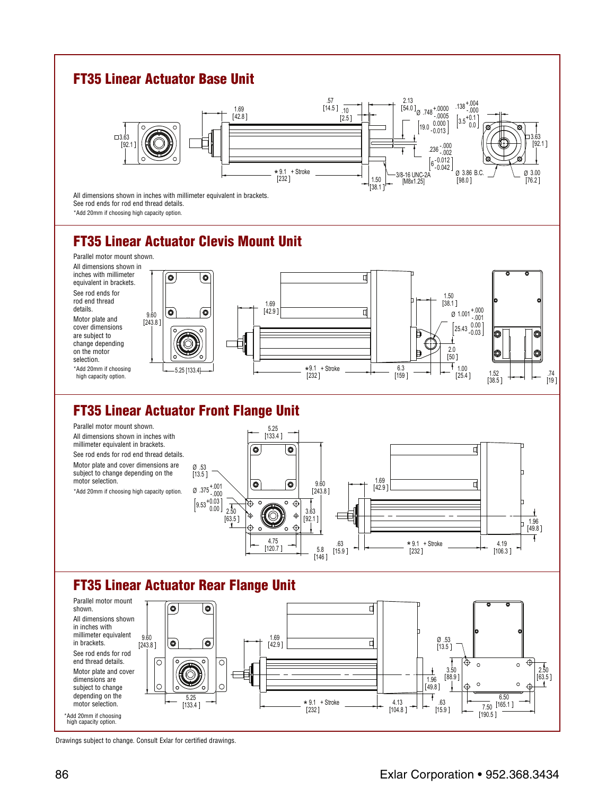

Drawings subject to change. Consult Exlar for certified drawings.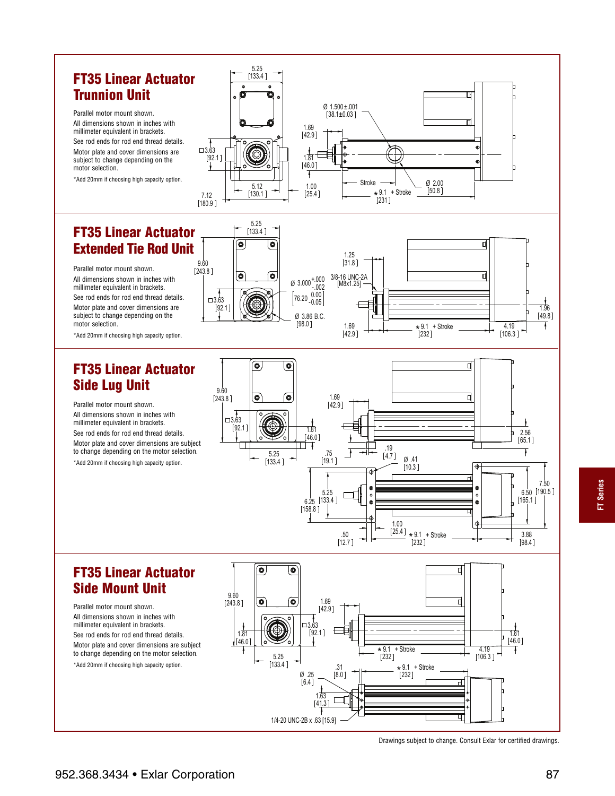## **FT35 Linear Actuator Trunnion Unit**

Parallel motor mount shown. All dimensions shown in inches with millimeter equivalent in brackets. See rod ends for rod end thread details. Motor plate and cover dimensions are subject to change depending on the motor selection.

\*Add 20mm if choosing high capacity option.

## **FT35 Linear Actuator Extended Tie Rod Unit**

Parallel motor mount shown. All dimensions shown in inches with millimeter equivalent in brackets. See rod ends for rod end thread details. Motor plate and cover dimensions are subject to change depending on the motor selection.

\*Add 20mm if choosing high capacity option.

## **FT35 Linear Actuator Side Lug Unit**

Parallel motor mount shown. All dimensions shown in inches with millimeter equivalent in brackets. See rod ends for rod end thread details. Motor plate and cover dimensions are subject to change depending on the motor selection.

\*Add 20mm if choosing high capacity option.



 $1.69$ <br>[42.9]



42.9 9.1 232

4.19  $[106.3]$ 

### **FT35 Linear Actuator Side Mount Unit**

Parallel motor mount shown. All dimensions shown in inches with millimeter equivalent in brackets. See rod ends for rod end thread details. Motor plate and cover dimensions are subject to change depending on the motor selection.





Drawings subject to change. Consult Exlar for certified drawings.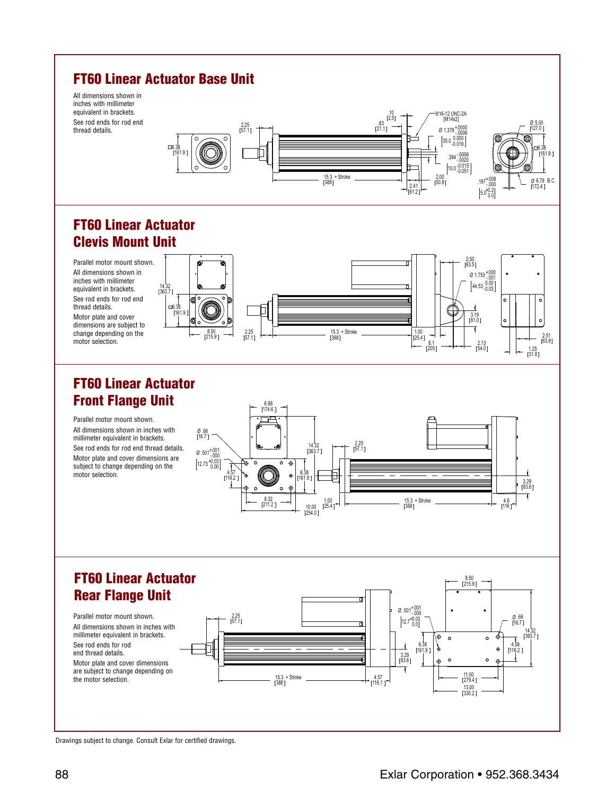



Drawings subject to change. Consult Exlar for certified drawings.

6.79 172.4

2.51 63.9

0 5.00<br>127.0

6.38 161.9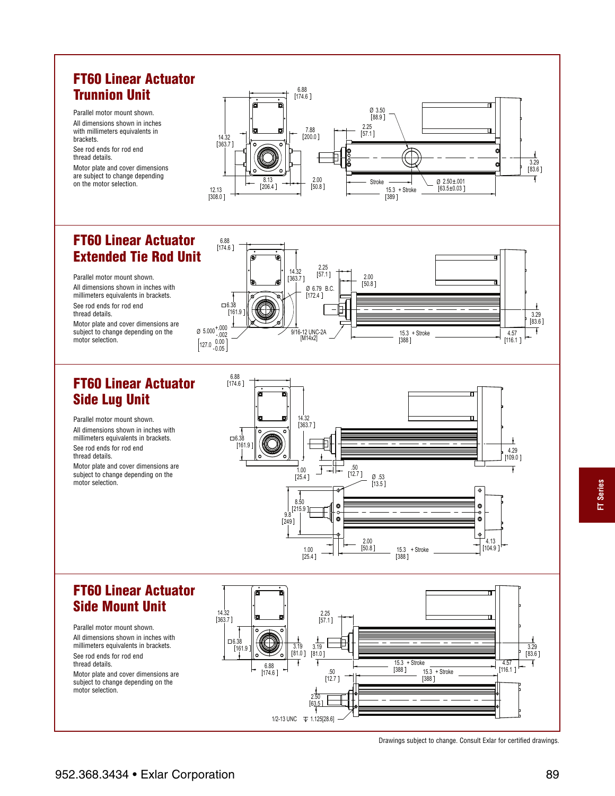## **FT60 Linear Actuator Trunnion Unit**

Parallel motor mount shown. All dimensions shown in inches with millimeters equivalents in brackets.

See rod ends for rod end thread details.

Motor plate and cover dimensions are subject to change depending on the motor selection.



### **FT60 Linear Actuator Extended Tie Rod Unit**

Parallel motor mount shown. All dimensions shown in inches with millimeters equivalents in brackets. See rod ends for rod end thread details.

Motor plate and cover dimensions are subject to change depending on the motor selection.

## **FT60 Linear Actuator Side Lug Unit**

Parallel motor mount shown. All dimensions shown in inches with millimeters equivalents in brackets. See rod ends for rod end thread details. Motor plate and cover dimensions are subject to change depending on the motor selection.





## **FT60 Linear Actuator Side Mount Unit**

Parallel motor mount shown. All dimensions shown in inches with millimeters equivalents in brackets. See rod ends for rod end thread details.

Motor plate and cover dimensions are subject to change depending on the motor selection.



Drawings subject to change. Consult Exlar for certified drawings.

**FT Series**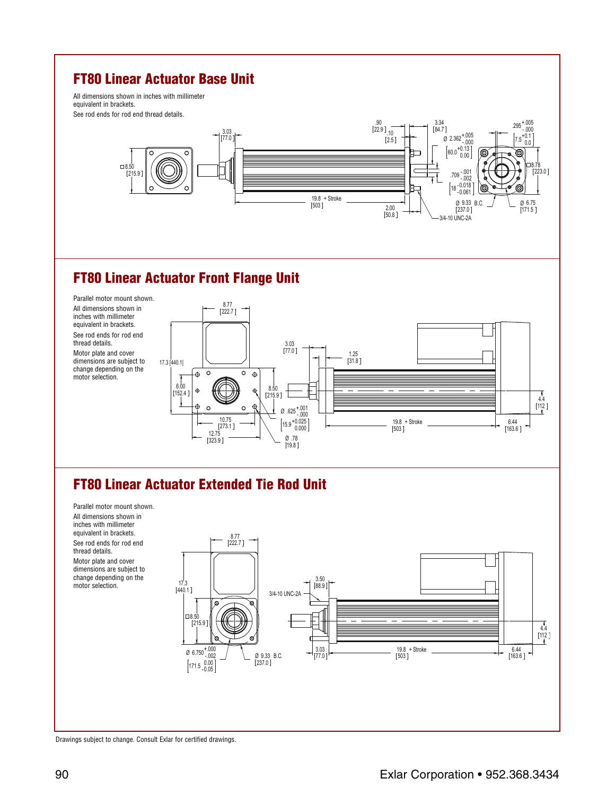## **FT80 Linear Actuator Base Unit**

All dimensions shown in inches with millimeter equivalent in brackets. See rod ends for rod end thread details.



## **FT80 Linear Actuator Front Flange Unit**



## **FT80 Linear Actuator Extended Tie Rod Unit**

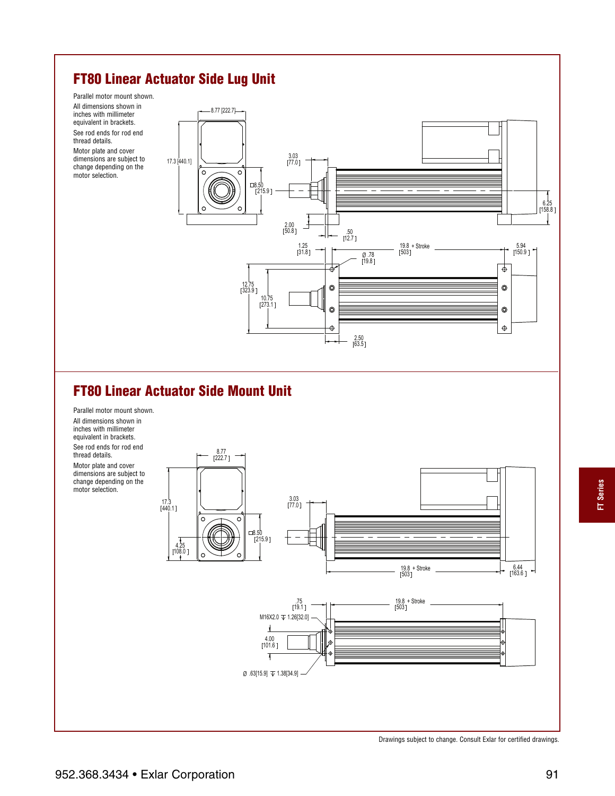## **FT80 Linear Actuator Side Lug Unit**

Parallel motor mount shown.

All dimensions shown in inches with millimeter equivalent in brackets. See rod ends for rod end thread details.

Motor plate and cover dimensions are subject to change depending on the motor selection.



## **FT80 Linear Actuator Side Mount Unit**



Drawings subject to change. Consult Exlar for certified drawings.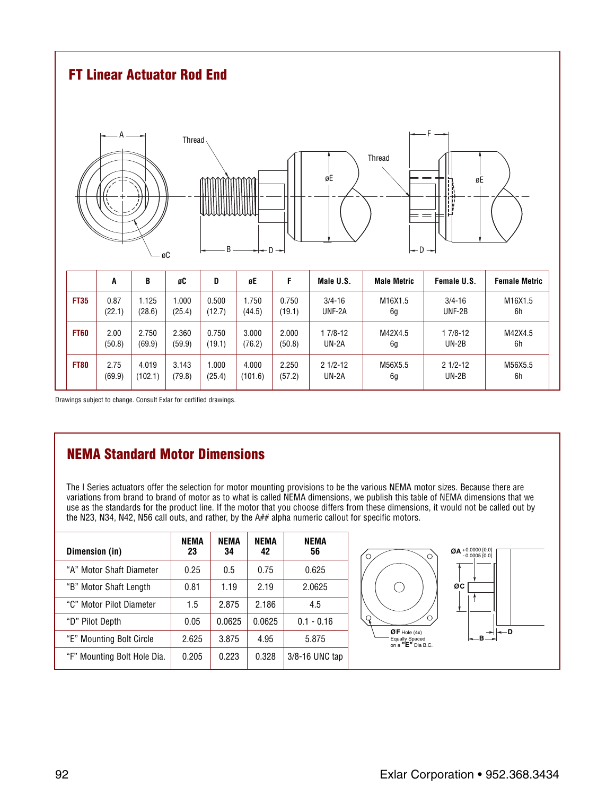

Drawings subject to change. Consult Exlar for certified drawings.

## **NEMA Standard Motor Dimensions**

The I Series actuators offer the selection for motor mounting provisions to be the various NEMA motor sizes. Because there are variations from brand to brand of motor as to what is called NEMA dimensions, we publish this table of NEMA dimensions that we use as the standards for the product line. If the motor that you choose differs from these dimensions, it would not be called out by the N23, N34, N42, N56 call outs, and rather, by the A## alpha numeric callout for specific motors.

| Dimension (in)              | NEMA<br>23 | NEMA<br>34 | NEMA<br>42 | NEMA<br>56       |
|-----------------------------|------------|------------|------------|------------------|
| "A" Motor Shaft Diameter    | 0.25       | 0.5        | 0.75       | 0.625            |
| "B" Motor Shaft Length      | 0.81       | 1.19       | 2.19       | 2.0625           |
| "C" Motor Pilot Diameter    | 1.5        | 2.875      | 2.186      | 4.5              |
| "D" Pilot Depth             | 0.05       | 0.0625     | 0.0625     | $0.1 - 0.16$     |
| "E" Mounting Bolt Circle    | 2.625      | 3.875      | 4.95       | 5.875            |
| "F" Mounting Bolt Hole Dia. | 0.205      | 0.223      | 0.328      | $3/8-16$ UNC tap |

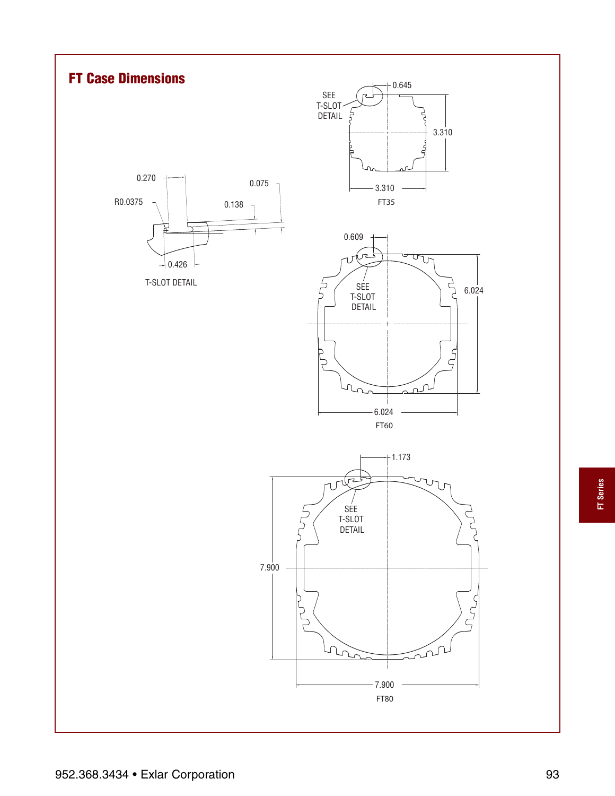